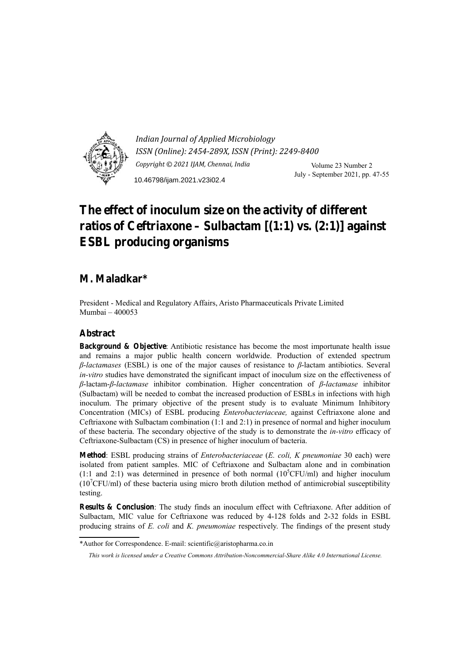

*Indian Journal of Applied Microbiology ISSN (Online): 2454-289X, ISSN (Print): 2249-8400 Copyright © 2021 IJAM, Chennai, India* Volume 23 Number 2 July - September 2021, pp. 47-55 10.46798/ijam.2021.v23i02.4

# **The effect of inoculum size on the activity of different ratios of Ceftriaxone – Sulbactam [(1:1) vs. (2:1)] against ESBL producing organisms**

# **M. Maladkar\***

President - Medical and Regulatory Affairs, Aristo Pharmaceuticals Private Limited Mumbai – 400053

## **Abstract**

**Background & Objective**: Antibiotic resistance has become the most importunate health issue and remains a major public health concern worldwide. Production of extended spectrum *β*-*lactamases* (ESBL) is one of the major causes of resistance to *β*-lactam antibiotics. Several *in-vitro* studies have demonstrated the significant impact of inoculum size on the effectiveness of *β*-lactam-*β*-*lactamase* inhibitor combination. Higher concentration of *β*-*lactamase* inhibitor (Sulbactam) will be needed to combat the increased production of ESBLs in infections with high inoculum. The primary objective of the present study is to evaluate Minimum Inhibitory Concentration (MICs) of ESBL producing *Enterobacteriaceae,* against Ceftriaxone alone and Ceftriaxone with Sulbactam combination (1:1 and 2:1) in presence of normal and higher inoculum of these bacteria. The secondary objective of the study is to demonstrate the *in-vitro* efficacy of Ceftriaxone-Sulbactam (CS) in presence of higher inoculum of bacteria.

**Method**: ESBL producing strains of *Enterobacteriaceae* (*E. coli, K pneumoniae* 30 each) were isolated from patient samples. MIC of Ceftriaxone and Sulbactam alone and in combination  $(1:1 \text{ and } 2:1)$  was determined in presence of both normal  $(10^5$ CFU/ml) and higher inoculum  $(10^7$ CFU/ml) of these bacteria using micro broth dilution method of antimicrobial susceptibility testing.

**Results & Conclusion**: The study finds an inoculum effect with Ceftriaxone. After addition of Sulbactam, MIC value for Ceftriaxone was reduced by 4-128 folds and 2-32 folds in ESBL producing strains of *E. coli* and *K. pneumoniae* respectively. The findings of the present study

<sup>\*</sup>Author for Correspondence. E-mail: scientific@aristopharma.co.in

*This work is licensed under a Creative Commons Attribution-Noncommercial-Share Alike 4.0 International License.*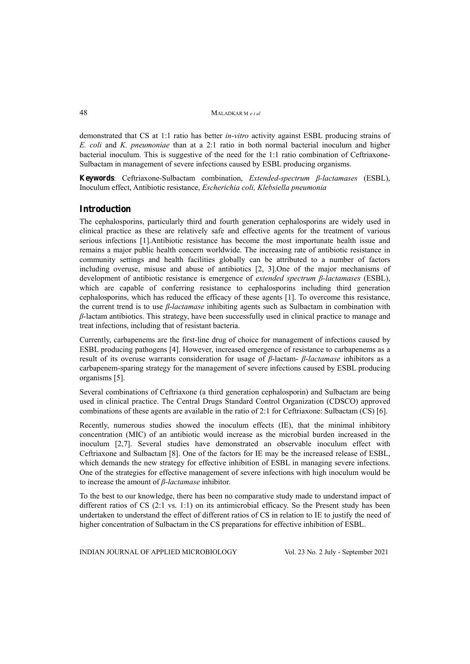demonstrated that CS at 1:1 ratio has better *in-vitro* activity against ESBL producing strains of *E. coli* and *K. pneumoniae* than at a 2:1 ratio in both normal bacterial inoculum and higher bacterial inoculum. This is suggestive of the need for the 1:1 ratio combination of Ceftriaxone-Sulbactam in management of severe infections caused by ESBL producing organisms.

**Keywords**: Ceftriaxone-Sulbactam combination, *Extended-spectrum β-lactamases* (ESBL), Inoculum effect, Antibiotic resistance, *Escherichia coli, Klebsiella pneumonia* 

### **Introduction**

The cephalosporins, particularly third and fourth generation cephalosporins are widely used in clinical practice as these are relatively safe and effective agents for the treatment of various serious infections [1].Antibiotic resistance has become the most importunate health issue and remains a major public health concern worldwide. The increasing rate of antibiotic resistance in community settings and health facilities globally can be attributed to a number of factors including overuse, misuse and abuse of antibiotics [2, 3].One of the major mechanisms of development of antibiotic resistance is emergence of *extended spectrum β-lactamases* (ESBL), which are capable of conferring resistance to cephalosporins including third generation cephalosporins, which has reduced the efficacy of these agents [1]. To overcome this resistance, the current trend is to use *β*-*lactamase* inhibiting agents such as Sulbactam in combination with *β*-lactam antibiotics. This strategy, have been successfully used in clinical practice to manage and treat infections, including that of resistant bacteria.

Currently, carbapenems are the first-line drug of choice for management of infections caused by ESBL producing pathogens [4]. However, increased emergence of resistance to carbapenems as a result of its overuse warrants consideration for usage of *β*-lactam- *β*-*lactamase* inhibitors as a carbapenem-sparing strategy for the management of severe infections caused by ESBL producing organisms [5].

Several combinations of Ceftriaxone (a third generation cephalosporin) and Sulbactam are being used in clinical practice. The Central Drugs Standard Control Organization (CDSCO) approved combinations of these agents are available in the ratio of 2:1 for Ceftriaxone: Sulbactam (CS) [6].

Recently, numerous studies showed the inoculum effects (IE), that the minimal inhibitory concentration (MIC) of an antibiotic would increase as the microbial burden increased in the inoculum [2,7]. Several studies have demonstrated an observable inoculum effect with Ceftriaxone and Sulbactam [8]. One of the factors for IE may be the increased release of ESBL, which demands the new strategy for effective inhibition of ESBL in managing severe infections. One of the strategies for effective management of severe infections with high inoculum would be to increase the amount of *β*-*lactamase* inhibitor.

To the best to our knowledge, there has been no comparative study made to understand impact of different ratios of CS (2:1 vs. 1:1) on its antimicrobial efficacy. So the Present study has been undertaken to understand the effect of different ratios of CS in relation to IE to justify the need of higher concentration of Sulbactam in the CS preparations for effective inhibition of ESBL.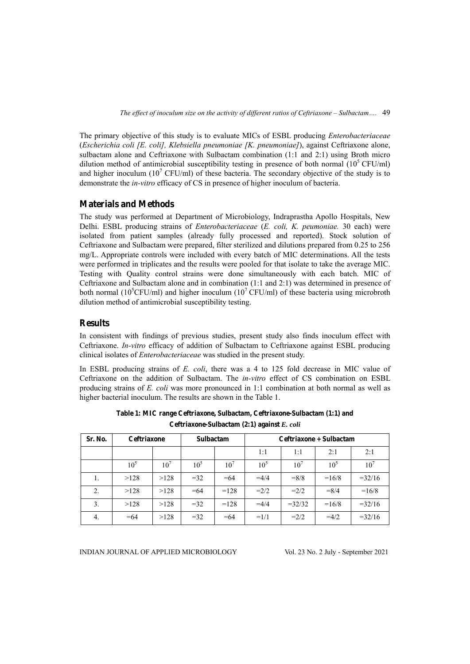The primary objective of this study is to evaluate MICs of ESBL producing *Enterobacteriaceae* (*Escherichia coli [E. coli], Klebsiella pneumoniae [K. pneumoniae]*), against Ceftriaxone alone, sulbactam alone and Ceftriaxone with Sulbactam combination (1:1 and 2:1) using Broth micro dilution method of antimicrobial susceptibility testing in presence of both normal  $(10^5 \text{ CFU/ml})$ and higher inoculum  $(10^7 \text{ CFU/ml})$  of these bacteria. The secondary objective of the study is to demonstrate the *in-vitro* efficacy of CS in presence of higher inoculum of bacteria.

### **Materials and Methods**

The study was performed at Department of Microbiology, Indraprastha Apollo Hospitals, New Delhi. ESBL producing strains of *Enterobacteriaceae* (*E. coli, K. peumoniae.* 30 each) were isolated from patient samples (already fully processed and reported). Stock solution of Ceftriaxone and Sulbactam were prepared, filter sterilized and dilutions prepared from 0.25 to 256 mg/L. Appropriate controls were included with every batch of MIC determinations. All the tests were performed in triplicates and the results were pooled for that isolate to take the average MIC. Testing with Quality control strains were done simultaneously with each batch. MIC of Ceftriaxone and Sulbactam alone and in combination (1:1 and 2:1) was determined in presence of both normal (10<sup>5</sup>CFU/ml) and higher inoculum (10<sup>7</sup> CFU/ml) of these bacteria using microbroth dilution method of antimicrobial susceptibility testing.

### **Results**

In consistent with findings of previous studies, present study also finds inoculum effect with Ceftriaxone. *In-vitro* efficacy of addition of Sulbactam to Ceftriaxone against ESBL producing clinical isolates of *Enterobacteriaceae* was studied in the present study.

In ESBL producing strains of *E. coli*, there was a 4 to 125 fold decrease in MIC value of Ceftriaxone on the addition of Sulbactam. The *in-vitro* effect of CS combination on ESBL producing strains of *E. coli* was more pronounced in 1:1 combination at both normal as well as higher bacterial inoculum. The results are shown in the Table 1.

| Sr. No. | <b>Ceftriaxone</b> |          | <b>Sulbactam</b> |          | Ceftriaxone + Sulbactam |          |          |                 |  |
|---------|--------------------|----------|------------------|----------|-------------------------|----------|----------|-----------------|--|
|         |                    |          |                  |          | 1:1                     | 1:1      | 2:1      | 2:1             |  |
|         | $10^{5}$           | $10^{7}$ | $10^5$           | $10^{7}$ | $10^{5}$                | $10^{7}$ | $10^{5}$ | 10 <sup>7</sup> |  |
| 1.      | >128               | >128     | $=32$            | $=64$    | $=4/4$                  | $= 8/8$  | $=16/8$  | $=32/16$        |  |
| 2.      | >128               | >128     | $=64$            | $=128$   | $=2/2$                  | $=2/2$   | $= 8/4$  | $=16/8$         |  |
| 3.      | >128               | >128     | $=32$            | $=128$   | $=4/4$                  | $=32/32$ | $=16/8$  | $=32/16$        |  |
| 4.      | $=64$              | >128     | $=32$            | $=64$    | $=1/1$                  | $=2/2$   | $=4/2$   | $=32/16$        |  |

**Table 1: MIC range Ceftriaxone, Sulbactam, Ceftriaxone-Sulbactam (1:1) and Ceftriaxone-Sulbactam (2:1) against** *E. coli*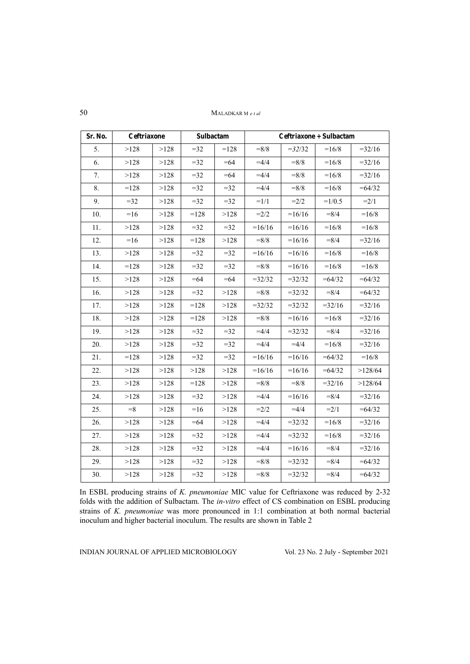MALADKAR M e t al

| Sr. No. | Ceftriaxone |      | Sulbactam |        | Ceftriaxone + Sulbactam |          |          |          |  |
|---------|-------------|------|-----------|--------|-------------------------|----------|----------|----------|--|
| 5.      | >128        | >128 | $=$ 32    | $=128$ | $= 8/8$                 | $=32/32$ | $=16/8$  | $=32/16$ |  |
| 6.      | >128        | >128 | $=32$     | $= 64$ | $=4/4$                  | $= 8/8$  | $=16/8$  | $=32/16$ |  |
| 7.      | >128        | >128 | $=32$     | $=64$  | $=4/4$                  | $= 8/8$  | $=16/8$  | $=32/16$ |  |
| 8.      | $=128$      | >128 | $=$ 32    | $=32$  | $=4/4$                  | $= 8/8$  | $=16/8$  | $=64/32$ |  |
| 9.      | $=32$       | >128 | $=32$     | $=32$  | $=1/1$                  | $=2/2$   | $=1/0.5$ | $=2/1$   |  |
| 10.     | $=16$       | >128 | $=128$    | >128   | $=2/2$                  | $=16/16$ | $= 8/4$  | $=16/8$  |  |
| 11.     | >128        | >128 | $=32$     | $=32$  | $=16/16$                | $=16/16$ | $=16/8$  | $=16/8$  |  |
| 12.     | $=16$       | >128 | $=128$    | >128   | $= 8/8$                 | $=16/16$ | $= 8/4$  | $=32/16$ |  |
| 13.     | >128        | >128 | $=$ 32    | $=32$  | $=16/16$                | $=16/16$ | $=16/8$  | $=16/8$  |  |
| 14.     | $=128$      | >128 | $=32$     | $=32$  | $= 8/8$                 | $=16/16$ | $=16/8$  | $=16/8$  |  |
| 15.     | >128        | >128 | $=64$     | $=64$  | $=32/32$                | $=32/32$ | $=64/32$ | $=64/32$ |  |
| 16.     | >128        | >128 | $=32$     | >128   | $= 8/8$                 | $=32/32$ | $= 8/4$  | $=64/32$ |  |
| 17.     | >128        | >128 | $=128$    | >128   | $=32/32$                | $=32/32$ | $=32/16$ | $=32/16$ |  |
| 18.     | >128        | >128 | $=128$    | >128   | $= 8/8$                 | $=16/16$ | $=16/8$  | $=32/16$ |  |
| 19.     | >128        | >128 | $=$ 32    | $=32$  | $=4/4$                  | $=32/32$ | $= 8/4$  | $=32/16$ |  |
| 20.     | >128        | >128 | $=32$     | $=32$  | $=4/4$                  | $=4/4$   | $=16/8$  | $=32/16$ |  |
| 21.     | $=128$      | >128 | $=32$     | $=32$  | $=16/16$                | $=16/16$ | $=64/32$ | $=16/8$  |  |
| 22.     | >128        | >128 | >128      | >128   | $=16/16$                | $=16/16$ | $=64/32$ | >128/64  |  |
| 23.     | >128        | >128 | $=128$    | >128   | $= 8/8$                 | $= 8/8$  | $=32/16$ | >128/64  |  |
| 24.     | >128        | >128 | $=$ 32    | >128   | $=4/4$                  | $=16/16$ | $= 8/4$  | $=32/16$ |  |
| 25.     | $= 8$       | >128 | $=16$     | >128   | $=2/2$                  | $=4/4$   | $=2/1$   | $=64/32$ |  |
| 26.     | >128        | >128 | $=64$     | >128   | $=4/4$                  | $=32/32$ | $=16/8$  | $=32/16$ |  |
| 27.     | >128        | >128 | $=32$     | >128   | $=4/4$                  | $=32/32$ | $=16/8$  | $=32/16$ |  |
| 28.     | >128        | >128 | $=32$     | >128   | $=4/4$                  | $=16/16$ | $= 8/4$  | $=32/16$ |  |
| 29.     | >128        | >128 | $=32$     | >128   | $= 8/8$                 | $=32/32$ | $= 8/4$  | $=64/32$ |  |
| 30.     | >128        | >128 | $=32$     | >128   | $= 8/8$                 | $=32/32$ | $= 8/4$  | $=64/32$ |  |

In ESBL producing strains of K. pneumoniae MIC value for Ceftriaxone was reduced by 2-32 folds with the addition of Sulbactam. The in-vitro effect of CS combination on ESBL producing strains of K. pneumoniae was more pronounced in 1:1 combination at both normal bacterial inoculum and higher bacterial inoculum. The results are shown in Table 2

INDIAN JOURNAL OF APPLIED MICROBIOLOGY

Vol. 23 No. 2 July - September 2021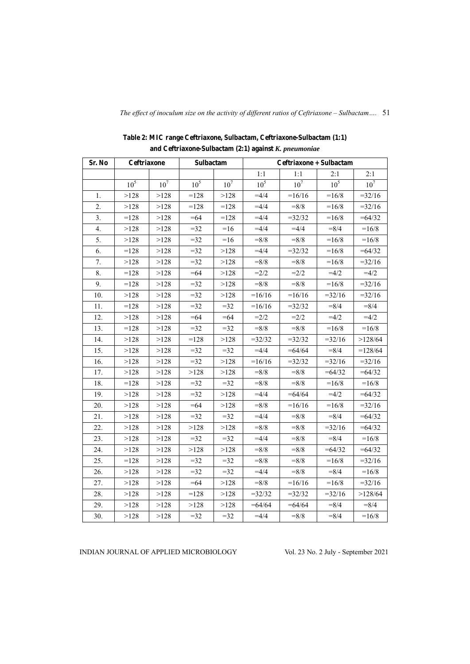| Sr. No | Ceftriaxone     |                 | Sulbactam       |        | Ceftriaxone + Sulbactam |                 |                 |                 |  |
|--------|-----------------|-----------------|-----------------|--------|-------------------------|-----------------|-----------------|-----------------|--|
|        |                 |                 |                 |        | 1:1                     | 1:1             | 2:1             | 2:1             |  |
|        | 10 <sup>5</sup> | 10 <sup>7</sup> | 10 <sup>5</sup> | $10^7$ | 10 <sup>5</sup>         | 10 <sup>7</sup> | 10 <sup>5</sup> | 10 <sup>7</sup> |  |
| 1.     | >128            | >128            | $=128$          | >128   | $=4/4$                  | $=16/16$        | $=16/8$         | $=32/16$        |  |
| 2.     | >128            | >128            | $=128$          | $=128$ | $=4/4$                  | $= 8/8$         | $=16/8$         | $=32/16$        |  |
| 3.     | $=128$          | >128            | $=64$           | $=128$ | $=4/4$                  | $=32/32$        | $=16/8$         | $=64/32$        |  |
| 4.     | >128            | >128            | $=32$           | $=16$  | $=4/4$                  | $=4/4$          | $= 8/4$         | $=16/8$         |  |
| 5.     | >128            | >128            | $=32$           | $=16$  | $= 8/8$                 | $= 8/8$         | $=16/8$         | $=16/8$         |  |
| 6.     | $=128$          | >128            | $=32$           | >128   | $=4/4$                  | $=32/32$        | $=16/8$         | $=64/32$        |  |
| 7.     | >128            | >128            | $=32$           | >128   | $= 8/8$                 | $= 8/8$         | $=16/8$         | $=32/16$        |  |
| 8.     | $=128$          | >128            | $=64$           | >128   | $=2/2$                  | $=2/2$          | $=4/2$          | $=4/2$          |  |
| 9.     | $=128$          | >128            | $=32$           | >128   | $= 8/8$                 | $= 8/8$         | $=16/8$         | $=32/16$        |  |
| 10.    | >128            | >128            | $=32$           | >128   | $=16/16$                | $=16/16$        | $=32/16$        | $=32/16$        |  |
| 11.    | $=128$          | >128            | $=32$           | $=32$  | $=16/16$                | $=32/32$        | $= 8/4$         | $= 8/4$         |  |
| 12.    | >128            | >128            | $= 64$          | $=64$  | $=2/2$                  | $=2/2$          | $=4/2$          | $=4/2$          |  |
| 13.    | $=128$          | >128            | $=32$           | $=32$  | $= 8/8$                 | $= 8/8$         | $=16/8$         | $=16/8$         |  |
| 14.    | >128            | >128            | $=128$          | >128   | $=32/32$                | $=32/32$        | $=32/16$        | >128/64         |  |
| 15.    | >128            | >128            | $=32$           | $=32$  | $=4/4$                  | $= 64/64$       | $= 8/4$         | $=128/64$       |  |
| 16.    | >128            | >128            | $=32$           | >128   | $=16/16$                | $=32/32$        | $=32/16$        | $=32/16$        |  |
| 17.    | >128            | >128            | >128            | >128   | $= 8/8$                 | $= 8/8$         | $=64/32$        | $=64/32$        |  |
| 18.    | $=128$          | >128            | $=32$           | $=32$  | $= 8/8$                 | $= 8/8$         | $=16/8$         | $=16/8$         |  |
| 19.    | >128            | >128            | $=32$           | >128   | $=4/4$                  | $=64/64$        | $=4/2$          | $=64/32$        |  |
| 20.    | >128            | >128            | $=64$           | >128   | $= 8/8$                 | $=16/16$        | $=16/8$         | $=32/16$        |  |
| 21.    | >128            | >128            | $=32$           | $=32$  | $=4/4$                  | $= 8/8$         | $= 8/4$         | $=64/32$        |  |
| 22.    | >128            | >128            | >128            | >128   | $= 8/8$                 | $= 8/8$         | $=32/16$        | $=64/32$        |  |
| 23.    | >128            | >128            | $=32$           | $=32$  | $=4/4$                  | $= 8/8$         | $= 8/4$         | $=16/8$         |  |
| 24.    | >128            | >128            | >128            | >128   | $= 8/8$                 | $= 8/8$         | $=64/32$        | $=64/32$        |  |
| 25.    | $=128$          | >128            | $=32$           | $=32$  | $= 8/8$                 | $= 8/8$         | $=16/8$         | $=32/16$        |  |
| 26.    | >128            | >128            | $=32$           | $=32$  | $=4/4$                  | $= 8/8$         | $= 8/4$         | $=16/8$         |  |
| 27.    | >128            | >128            | $= 64$          | >128   | $= 8/8$                 | $=16/16$        | $=16/8$         | $=32/16$        |  |
| 28.    | >128            | >128            | $=128$          | >128   | $=32/32$                | $=32/32$        | $=32/16$        | >128/64         |  |
| 29.    | >128            | >128            | >128            | >128   | $= 64/64$               | $= 64/64$       | $= 8/4$         | $= 8/4$         |  |
| 30.    | >128            | >128            | $=32$           | $=32$  | $=4/4$                  | $= 8/8$         | $= 8/4$         | $=16/8$         |  |

Table 2: MIC range Ceftriaxone, Sulbactam, Ceftriaxone-Sulbactam (1:1) and Ceftriaxone-Sulbactam  $(2\text{:}1)$  against  $K.$   $pneumoniae$ 

INDIAN JOURNAL OF APPLIED MICROBIOLOGY

Vol. 23 No. 2 July - September 2021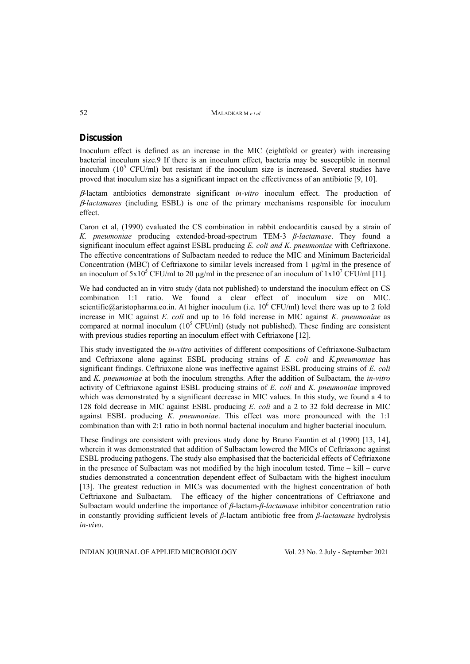52MALADKAR M *e t al*

### **Discussion**

Inoculum effect is defined as an increase in the MIC (eightfold or greater) with increasing bacterial inoculum size.9 If there is an inoculum effect, bacteria may be susceptible in normal inoculum  $(10^5 \text{ CFU/ml})$  but resistant if the inoculum size is increased. Several studies have proved that inoculum size has a significant impact on the effectiveness of an antibiotic [9, 10].

-lactam antibiotics demonstrate significant *in-vitro* inoculum effect. The production of -*lactamases* (including ESBL) is one of the primary mechanisms responsible for inoculum effect.

Caron et al, (1990) evaluated the CS combination in rabbit endocarditis caused by a strain of *K. pneumoniae* producing extended-broad-spectrum TEM-3 *β*-*lactamase*. They found a significant inoculum effect against ESBL producing *E. coli and K. pneumoniae* with Ceftriaxone. The effective concentrations of Sulbactam needed to reduce the MIC and Minimum Bactericidal Concentration (MBC) of Ceftriaxone to similar levels increased from 1 µg/ml in the presence of an inoculum of  $5x10^5$  CFU/ml to 20 µg/ml in the presence of an inoculum of  $1x10^7$  CFU/ml [11].

We had conducted an in vitro study (data not published) to understand the inoculum effect on CS combination 1:1 ratio. We found a clear effect of inoculum size on MIC. scientific@aristopharma.co.in. At higher inoculum (i.e.  $10^6$  CFU/ml) level there was up to 2 fold increase in MIC against *E. coli* and up to 16 fold increase in MIC against *K. pneumoniae* as compared at normal inoculum  $(10^5 \text{ CFU/ml})$  (study not published). These finding are consistent with previous studies reporting an inoculum effect with Ceftriaxone [12].

This study investigated the *in-vitro* activities of different compositions of Ceftriaxone-Sulbactam and Ceftriaxone alone against ESBL producing strains of *E. coli* and *K.pneumoniae* has significant findings. Ceftriaxone alone was ineffective against ESBL producing strains of *E. coli*  and *K. pneumoniae* at both the inoculum strengths. After the addition of Sulbactam, the *in-vitro* activity of Ceftriaxone against ESBL producing strains of *E. coli* and *K. pneumoniae* improved which was demonstrated by a significant decrease in MIC values. In this study, we found a 4 to 128 fold decrease in MIC against ESBL producing *E. coli* and a 2 to 32 fold decrease in MIC against ESBL producing *K. pneumoniae*. This effect was more pronounced with the 1:1 combination than with 2:1 ratio in both normal bacterial inoculum and higher bacterial inoculum.

These findings are consistent with previous study done by Bruno Fauntin et al (1990) [13, 14], wherein it was demonstrated that addition of Sulbactam lowered the MICs of Ceftriaxone against ESBL producing pathogens. The study also emphasised that the bactericidal effects of Ceftriaxone in the presence of Sulbactam was not modified by the high inoculum tested. Time – kill – curve studies demonstrated a concentration dependent effect of Sulbactam with the highest inoculum [13]. The greatest reduction in MICs was documented with the highest concentration of both Ceftriaxone and Sulbactam. The efficacy of the higher concentrations of Ceftriaxone and Sulbactam would underline the importance of *β*-lactam-*β*-*lactamase* inhibitor concentration ratio in constantly providing sufficient levels of *β*-lactam antibiotic free from *β*-*lactamase* hydrolysis *in-vivo*.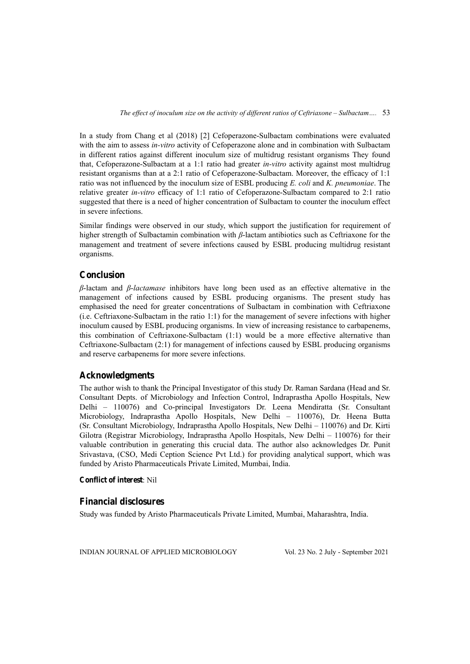In a study from Chang et al (2018) [2] Cefoperazone-Sulbactam combinations were evaluated with the aim to assess *in-vitro* activity of Cefoperazone alone and in combination with Sulbactam in different ratios against different inoculum size of multidrug resistant organisms They found that, Cefoperazone-Sulbactam at a 1:1 ratio had greater *in-vitro* activity against most multidrug resistant organisms than at a 2:1 ratio of Cefoperazone-Sulbactam. Moreover, the efficacy of 1:1 ratio was not influenced by the inoculum size of ESBL producing *E. coli* and *K. pneumoniae*. The relative greater *in-vitro* efficacy of 1:1 ratio of Cefoperazone-Sulbactam compared to 2:1 ratio suggested that there is a need of higher concentration of Sulbactam to counter the inoculum effect in severe infections.

Similar findings were observed in our study, which support the justification for requirement of higher strength of Sulbactamin combination with *β*-lactam antibiotics such as Ceftriaxone for the management and treatment of severe infections caused by ESBL producing multidrug resistant organisms.

### **Conclusion**

*β*-lactam and *β*-*lactamase* inhibitors have long been used as an effective alternative in the management of infections caused by ESBL producing organisms. The present study has emphasised the need for greater concentrations of Sulbactam in combination with Ceftriaxone (i.e. Ceftriaxone-Sulbactam in the ratio 1:1) for the management of severe infections with higher inoculum caused by ESBL producing organisms. In view of increasing resistance to carbapenems, this combination of Ceftriaxone-Sulbactam (1:1) would be a more effective alternative than Ceftriaxone-Sulbactam (2:1) for management of infections caused by ESBL producing organisms and reserve carbapenems for more severe infections.

### **Acknowledgments**

The author wish to thank the Principal Investigator of this study Dr. Raman Sardana (Head and Sr. Consultant Depts. of Microbiology and Infection Control, Indraprastha Apollo Hospitals, New Delhi – 110076) and Co-principal Investigators Dr. Leena Mendiratta (Sr. Consultant Microbiology, Indraprastha Apollo Hospitals, New Delhi – 110076), Dr. Heena Butta (Sr. Consultant Microbiology, Indraprastha Apollo Hospitals, New Delhi – 110076) and Dr. Kirti Gilotra (Registrar Microbiology, Indraprastha Apollo Hospitals, New Delhi – 110076) for their valuable contribution in generating this crucial data. The author also acknowledges Dr. Punit Srivastava, (CSO, Medi Ception Science Pvt Ltd.) for providing analytical support, which was funded by Aristo Pharmaceuticals Private Limited, Mumbai, India.

### **Conflict of interest**: Nil

### **Financial disclosures**

Study was funded by Aristo Pharmaceuticals Private Limited, Mumbai, Maharashtra, India.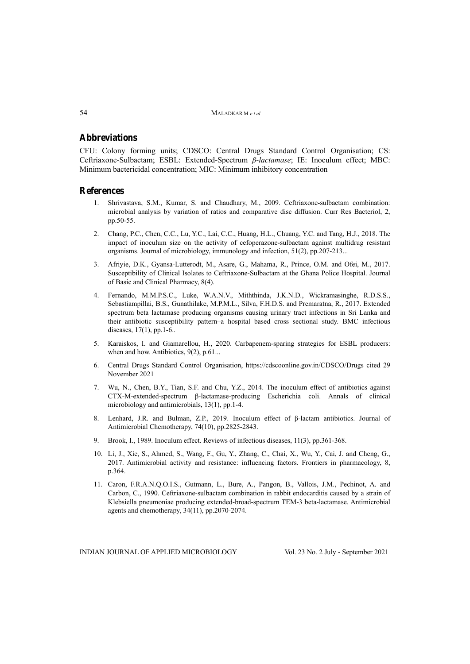### **Abbreviations**

CFU: Colony forming units; CDSCO: Central Drugs Standard Control Organisation; CS: Ceftriaxone-Sulbactam; ESBL: Extended-Spectrum *β*-*lactamase*; IE: Inoculum effect; MBC: Minimum bactericidal concentration; MIC: Minimum inhibitory concentration

### **References**

- 1. Shrivastava, S.M., Kumar, S. and Chaudhary, M., 2009. Ceftriaxone-sulbactam combination: microbial analysis by variation of ratios and comparative disc diffusion. Curr Res Bacteriol, 2, pp.50-55.
- 2. Chang, P.C., Chen, C.C., Lu, Y.C., Lai, C.C., Huang, H.L., Chuang, Y.C. and Tang, H.J., 2018. The impact of inoculum size on the activity of cefoperazone-sulbactam against multidrug resistant organisms. Journal of microbiology, immunology and infection, 51(2), pp.207-213...
- 3. Afriyie, D.K., Gyansa-Lutterodt, M., Asare, G., Mahama, R., Prince, O.M. and Ofei, M., 2017. Susceptibility of Clinical Isolates to Ceftriaxone-Sulbactam at the Ghana Police Hospital. Journal of Basic and Clinical Pharmacy, 8(4).
- 4. Fernando, M.M.P.S.C., Luke, W.A.N.V., Miththinda, J.K.N.D., Wickramasinghe, R.D.S.S., Sebastiampillai, B.S., Gunathilake, M.P.M.L., Silva, F.H.D.S. and Premaratna, R., 2017. Extended spectrum beta lactamase producing organisms causing urinary tract infections in Sri Lanka and their antibiotic susceptibility pattern–a hospital based cross sectional study. BMC infectious diseases, 17(1), pp.1-6..
- 5. Karaiskos, I. and Giamarellou, H., 2020. Carbapenem-sparing strategies for ESBL producers: when and how. Antibiotics, 9(2), p.61...
- 6. Central Drugs Standard Control Organisation, https://cdscoonline.gov.in/CDSCO/Drugs cited 29 November 2021
- 7. Wu, N., Chen, B.Y., Tian, S.F. and Chu, Y.Z., 2014. The inoculum effect of antibiotics against CTX-M-extended-spectrum β-lactamase-producing Escherichia coli. Annals of clinical microbiology and antimicrobials, 13(1), pp.1-4.
- 8. Lenhard, J.R. and Bulman, Z.P., 2019. Inoculum effect of β-lactam antibiotics. Journal of Antimicrobial Chemotherapy, 74(10), pp.2825-2843.
- 9. Brook, I., 1989. Inoculum effect. Reviews of infectious diseases, 11(3), pp.361-368.
- 10. Li, J., Xie, S., Ahmed, S., Wang, F., Gu, Y., Zhang, C., Chai, X., Wu, Y., Cai, J. and Cheng, G., 2017. Antimicrobial activity and resistance: influencing factors. Frontiers in pharmacology, 8, p.364.
- 11. Caron, F.R.A.N.Q.O.I.S., Gutmann, L., Bure, A., Pangon, B., Vallois, J.M., Pechinot, A. and Carbon, C., 1990. Ceftriaxone-sulbactam combination in rabbit endocarditis caused by a strain of Klebsiella pneumoniae producing extended-broad-spectrum TEM-3 beta-lactamase. Antimicrobial agents and chemotherapy, 34(11), pp.2070-2074.